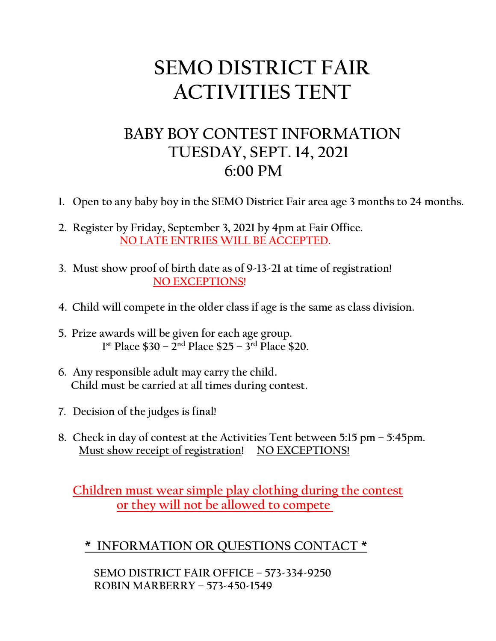## **SEMO DISTRICT FAIR ACTIVITIES TENT**

## **BABY BOY CONTEST INFORMATION TUESDAY, SEPT. 14, 2021 6:00 PM**

- **1. Open to any baby boy in the SEMO District Fair area age 3 months to 24 months.**
- **2. Register by Friday, September 3, 2021 by 4pm at Fair Office. NO LATE ENTRIES WILL BE ACCEPTED.**
- **3. Must show proof of birth date as of 9-13-21 at time of registration! NO EXCEPTIONS!**
- **4. Child will compete in the older class if age is the same as class division.**
- **5. Prize awards will be given for each age group. 1st Place \$30 – 2nd Place \$25 – 3rd Place \$20.**
- **6. Any responsible adult may carry the child. Child must be carried at all times during contest.**
- **7. Decision of the judges is final!**
- **8. Check in day of contest at the Activities Tent between 5:15 pm – 5:45pm. Must show receipt of registration! NO EXCEPTIONS!**

 **Children must wear simple play clothing during the contest or they will not be allowed to compete** 

 **\* INFORMATION OR QUESTIONS CONTACT \***

 **SEMO DISTRICT FAIR OFFICE – 573-334-9250 ROBIN MARBERRY – 573-450-1549**